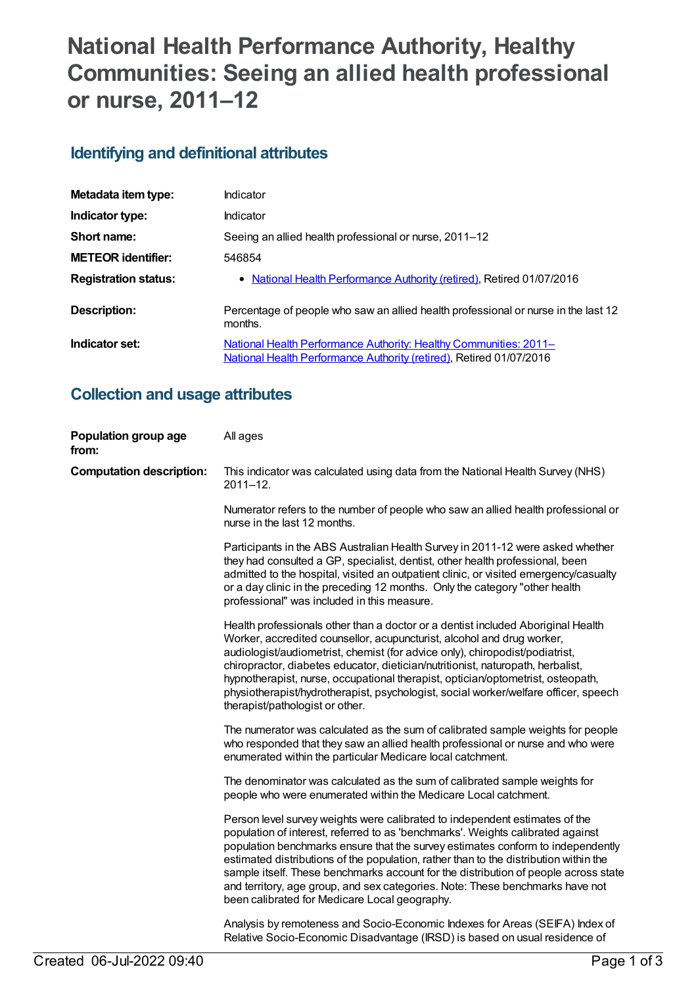# **National Health Performance Authority, Healthy Communities: Seeing an allied health professional or nurse, 2011–12**

### **Identifying and definitional attributes**

| Metadata item type:         | Indicator                                                                                                                                |
|-----------------------------|------------------------------------------------------------------------------------------------------------------------------------------|
| Indicator type:             | Indicator                                                                                                                                |
| Short name:                 | Seeing an allied health professional or nurse, 2011–12                                                                                   |
| <b>METEOR</b> identifier:   | 546854                                                                                                                                   |
| <b>Registration status:</b> | • National Health Performance Authority (retired), Retired 01/07/2016                                                                    |
| <b>Description:</b>         | Percentage of people who saw an allied health professional or nurse in the last 12<br>months.                                            |
| Indicator set:              | National Health Performance Authority: Healthy Communities: 2011-<br>National Health Performance Authority (retired), Retired 01/07/2016 |

## **Collection and usage attributes**

| Population group age<br>from:   | All ages                                                                                                                                                                                                                                                                                                                                                                                                                                                                                                                                                            |
|---------------------------------|---------------------------------------------------------------------------------------------------------------------------------------------------------------------------------------------------------------------------------------------------------------------------------------------------------------------------------------------------------------------------------------------------------------------------------------------------------------------------------------------------------------------------------------------------------------------|
| <b>Computation description:</b> | This indicator was calculated using data from the National Health Survey (NHS)<br>$2011 - 12$ .                                                                                                                                                                                                                                                                                                                                                                                                                                                                     |
|                                 | Numerator refers to the number of people who saw an allied health professional or<br>nurse in the last 12 months.                                                                                                                                                                                                                                                                                                                                                                                                                                                   |
|                                 | Participants in the ABS Australian Health Survey in 2011-12 were asked whether<br>they had consulted a GP, specialist, dentist, other health professional, been<br>admitted to the hospital, visited an outpatient clinic, or visited emergency/casualty<br>or a day clinic in the preceding 12 months. Only the category "other health<br>professional" was included in this measure.                                                                                                                                                                              |
|                                 | Health professionals other than a doctor or a dentist included Aboriginal Health<br>Worker, accredited counsellor, acupuncturist, alcohol and drug worker,<br>audiologist/audiometrist, chemist (for advice only), chiropodist/podiatrist,<br>chiropractor, diabetes educator, dietician/nutritionist, naturopath, herbalist,<br>hypnotherapist, nurse, occupational therapist, optician/optometrist, osteopath,<br>physiotherapist/hydrotherapist, psychologist, social worker/welfare officer, speech<br>therapist/pathologist or other.                          |
|                                 | The numerator was calculated as the sum of calibrated sample weights for people<br>who responded that they saw an allied health professional or nurse and who were<br>enumerated within the particular Medicare local catchment.                                                                                                                                                                                                                                                                                                                                    |
|                                 | The denominator was calculated as the sum of calibrated sample weights for<br>people who were enumerated within the Medicare Local catchment.                                                                                                                                                                                                                                                                                                                                                                                                                       |
|                                 | Person level survey weights were calibrated to independent estimates of the<br>population of interest, referred to as 'benchmarks'. Weights calibrated against<br>population benchmarks ensure that the survey estimates conform to independently<br>estimated distributions of the population, rather than to the distribution within the<br>sample itself. These benchmarks account for the distribution of people across state<br>and territory, age group, and sex categories. Note: These benchmarks have not<br>been calibrated for Medicare Local geography. |
|                                 | Analysis by remoteness and Socio-Economic Indexes for Areas (SEIFA) Index of<br>Relative Socio-Economic Disadvantage (IRSD) is based on usual residence of                                                                                                                                                                                                                                                                                                                                                                                                          |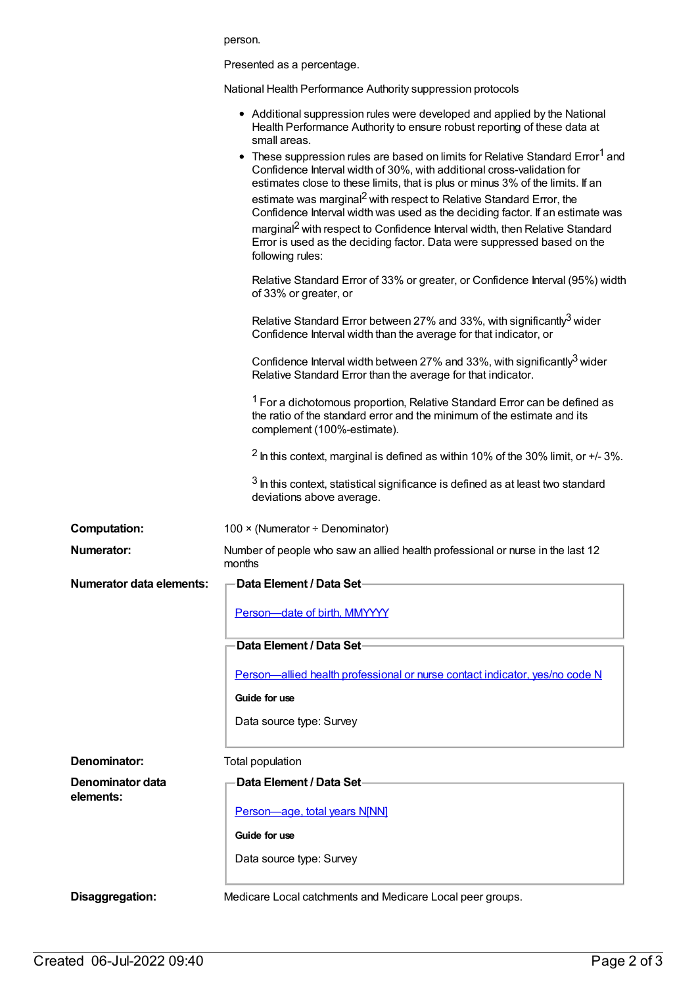|                                 | person.                                                                                                                                                                                                                                                                                                                                                                                                                                                                                                                                                                                                              |
|---------------------------------|----------------------------------------------------------------------------------------------------------------------------------------------------------------------------------------------------------------------------------------------------------------------------------------------------------------------------------------------------------------------------------------------------------------------------------------------------------------------------------------------------------------------------------------------------------------------------------------------------------------------|
|                                 | Presented as a percentage.                                                                                                                                                                                                                                                                                                                                                                                                                                                                                                                                                                                           |
|                                 | National Health Performance Authority suppression protocols                                                                                                                                                                                                                                                                                                                                                                                                                                                                                                                                                          |
|                                 | • Additional suppression rules were developed and applied by the National<br>Health Performance Authority to ensure robust reporting of these data at<br>small areas.                                                                                                                                                                                                                                                                                                                                                                                                                                                |
|                                 | • These suppression rules are based on limits for Relative Standard Error <sup>1</sup> and<br>Confidence Interval width of 30%, with additional cross-validation for<br>estimates close to these limits, that is plus or minus 3% of the limits. If an<br>estimate was marginal <sup>2</sup> with respect to Relative Standard Error, the<br>Confidence Interval width was used as the deciding factor. If an estimate was<br>marginal <sup>2</sup> with respect to Confidence Interval width, then Relative Standard<br>Error is used as the deciding factor. Data were suppressed based on the<br>following rules: |
|                                 | Relative Standard Error of 33% or greater, or Confidence Interval (95%) width<br>of 33% or greater, or                                                                                                                                                                                                                                                                                                                                                                                                                                                                                                               |
|                                 | Relative Standard Error between 27% and 33%, with significantly <sup>3</sup> wider<br>Confidence Interval width than the average for that indicator, or                                                                                                                                                                                                                                                                                                                                                                                                                                                              |
|                                 | Confidence Interval width between 27% and 33%, with significantly <sup>3</sup> wider<br>Relative Standard Error than the average for that indicator.                                                                                                                                                                                                                                                                                                                                                                                                                                                                 |
|                                 | <sup>1</sup> For a dichotomous proportion, Relative Standard Error can be defined as<br>the ratio of the standard error and the minimum of the estimate and its<br>complement (100%-estimate).                                                                                                                                                                                                                                                                                                                                                                                                                       |
|                                 | $2$ In this context, marginal is defined as within 10% of the 30% limit, or $+/-3$ %.                                                                                                                                                                                                                                                                                                                                                                                                                                                                                                                                |
|                                 | $3$ In this context, statistical significance is defined as at least two standard<br>deviations above average.                                                                                                                                                                                                                                                                                                                                                                                                                                                                                                       |
| <b>Computation:</b>             | 100 × (Numerator ÷ Denominator)                                                                                                                                                                                                                                                                                                                                                                                                                                                                                                                                                                                      |
| Numerator:                      | Number of people who saw an allied health professional or nurse in the last 12<br>months                                                                                                                                                                                                                                                                                                                                                                                                                                                                                                                             |
| <b>Numerator data elements:</b> | Data Element / Data Set-                                                                                                                                                                                                                                                                                                                                                                                                                                                                                                                                                                                             |
|                                 | Person-date of birth, MMYYYY                                                                                                                                                                                                                                                                                                                                                                                                                                                                                                                                                                                         |
|                                 | Data Element / Data Set-                                                                                                                                                                                                                                                                                                                                                                                                                                                                                                                                                                                             |
|                                 | Person—allied health professional or nurse contact indicator, yes/no code N                                                                                                                                                                                                                                                                                                                                                                                                                                                                                                                                          |
|                                 | Guide for use                                                                                                                                                                                                                                                                                                                                                                                                                                                                                                                                                                                                        |
|                                 | Data source type: Survey                                                                                                                                                                                                                                                                                                                                                                                                                                                                                                                                                                                             |
| Denominator:                    | Total population                                                                                                                                                                                                                                                                                                                                                                                                                                                                                                                                                                                                     |
| Denominator data<br>elements:   | Data Element / Data Set-                                                                                                                                                                                                                                                                                                                                                                                                                                                                                                                                                                                             |
|                                 | Person-age, total years N[NN]                                                                                                                                                                                                                                                                                                                                                                                                                                                                                                                                                                                        |
|                                 | Guide for use                                                                                                                                                                                                                                                                                                                                                                                                                                                                                                                                                                                                        |
|                                 | Data source type: Survey                                                                                                                                                                                                                                                                                                                                                                                                                                                                                                                                                                                             |
| Disaggregation:                 | Medicare Local catchments and Medicare Local peer groups.                                                                                                                                                                                                                                                                                                                                                                                                                                                                                                                                                            |